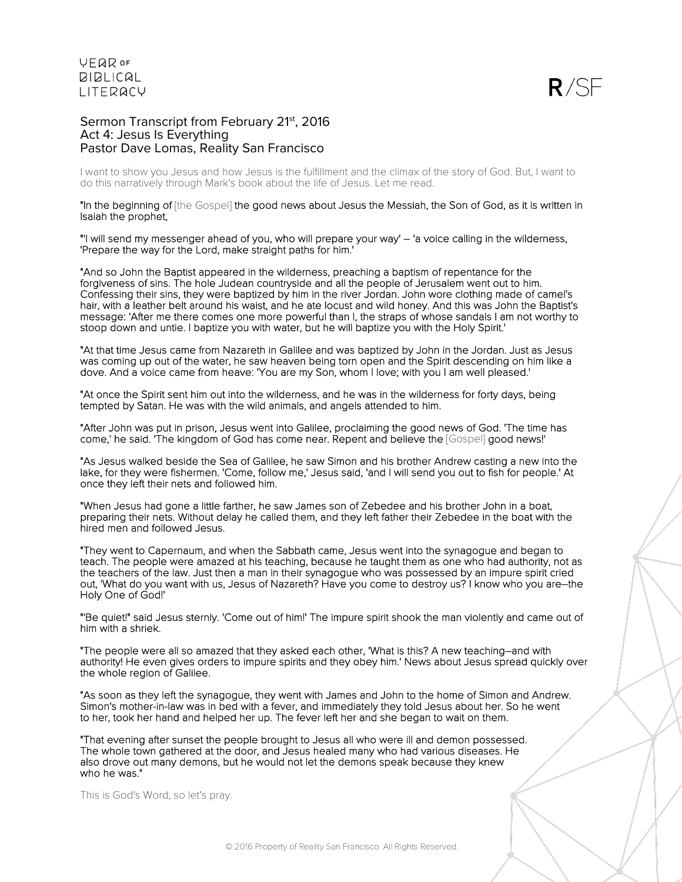

## Sermon Transcript from February 21<sup>st</sup>, 2016 Act 4: Jesus Is Everything Pastor Dave Lomas, Reality San Francisco

I want to show you Jesus and how Jesus is the fulfillment and the climax of the story of God. But, I want to do this narratively through Mark's book about the life of Jesus. Let me read.

"In the beginning of [the Gospel] the good news about Jesus the Messiah, the Son of God, as it is written in Isaiah the prophet,

"'I will send my messenger ahead of you, who will prepare your way' – 'a voice calling in the wilderness, 'Prepare the way for the Lord, make straight paths for him.'

"And so John the Baptist appeared in the wilderness, preaching a baptism of repentance for the forgiveness of sins. The hole Judean countryside and all the people of Jerusalem went out to him. Confessing their sins, they were baptized by him in the river Jordan. John wore clothing made of camel's hair, with a leather belt around his waist, and he ate locust and wild honey. And this was John the Baptist's message: 'After me there comes one more powerful than I, the straps of whose sandals I am not worthy to stoop down and untie. I baptize you with water, but he will baptize you with the Holy Spirit.'

"At that time Jesus came from Nazareth in Galilee and was baptized by John in the Jordan. Just as Jesus was coming up out of the water, he saw heaven being torn open and the Spirit descending on him like a dove. And a voice came from heave: 'You are my Son, whom I love; with you I am well pleased.'

"At once the Spirit sent him out into the wilderness, and he was in the wilderness for forty days, being tempted by Satan. He was with the wild animals, and angels attended to him.

"After John was put in prison, Jesus went into Galilee, proclaiming the good news of God. 'The time has come,' he said. 'The kingdom of God has come near. Repent and believe the [Gospel] good news!'

"As Jesus walked beside the Sea of Galilee, he saw Simon and his brother Andrew casting a new into the lake, for they were fishermen. 'Come, follow me,' Jesus said, 'and I will send you out to fish for people.' At once they left their nets and followed him.

"When Jesus had gone a little farther, he saw James son of Zebedee and his brother John in a boat, preparing their nets. Without delay he called them, and they left father their Zebedee in the boat with the hired men and followed Jesus.

"They went to Capernaum, and when the Sabbath came, Jesus went into the synagogue and began to teach. The people were amazed at his teaching, because he taught them as one who had authority, not as the teachers of the law. Just then a man in their synagogue who was possessed by an impure spirit cried out, 'What do you want with us, Jesus of Nazareth? Have you come to destroy us? I know who you are–the Holy One of God!'

"'Be quiet!" said Jesus sternly. 'Come out of him!' The impure spirit shook the man violently and came out of him with a shriek.

"The people were all so amazed that they asked each other, 'What is this? A new teaching–and with authority! He even gives orders to impure spirits and they obey him.' News about Jesus spread quickly over the whole region of Galilee.

"As soon as they left the synagogue, they went with James and John to the home of Simon and Andrew. Simon's mother-in-law was in bed with a fever, and immediately they told Jesus about her. So he went to her, took her hand and helped her up. The fever left her and she began to wait on them.

"That evening after sunset the people brought to Jesus all who were ill and demon possessed. The whole town gathered at the door, and Jesus healed many who had various diseases. He also drove out many demons, but he would not let the demons speak because they knew who he was."

This is God's Word, so let's pray.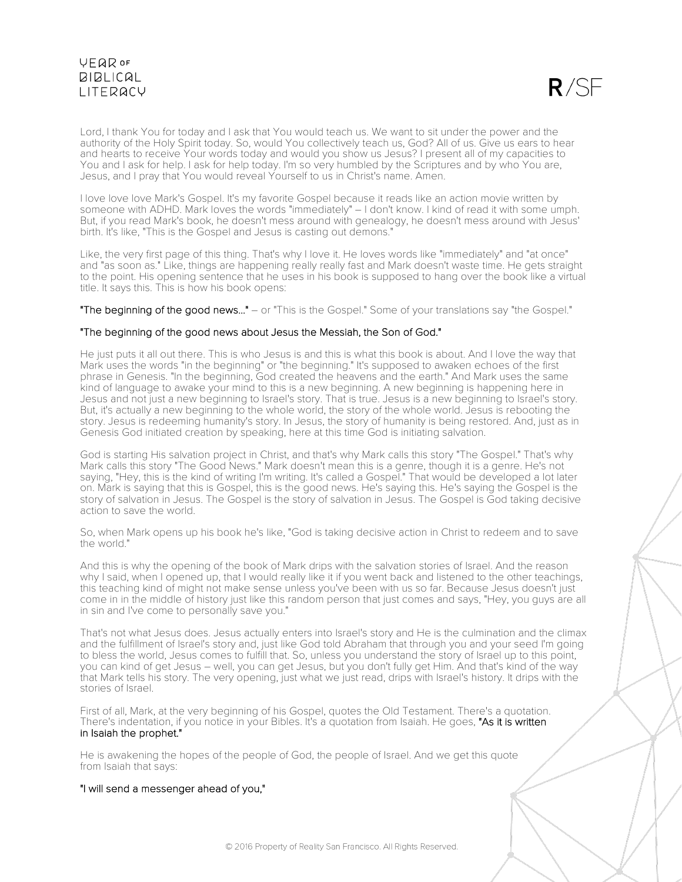

Lord, I thank You for today and I ask that You would teach us. We want to sit under the power and the authority of the Holy Spirit today. So, would You collectively teach us, God? All of us. Give us ears to hear and hearts to receive Your words today and would you show us Jesus? I present all of my capacities to You and I ask for help. I ask for help today. I'm so very humbled by the Scriptures and by who You are, Jesus, and I pray that You would reveal Yourself to us in Christ's name. Amen.

I love love love Mark's Gospel. It's my favorite Gospel because it reads like an action movie written by someone with ADHD. Mark loves the words "immediately" – I don't know. I kind of read it with some umph. But, if you read Mark's book, he doesn't mess around with genealogy, he doesn't mess around with Jesus' birth. It's like, "This is the Gospel and Jesus is casting out demons."

Like, the very first page of this thing. That's why I love it. He loves words like "immediately" and "at once" and "as soon as." Like, things are happening really really fast and Mark doesn't waste time. He gets straight to the point. His opening sentence that he uses in his book is supposed to hang over the book like a virtual title. It says this. This is how his book opens:

"The beginning of the good news..." – or "This is the Gospel." Some of your translations say "the Gospel."

## "The beginning of the good news about Jesus the Messiah, the Son of God."

He just puts it all out there. This is who Jesus is and this is what this book is about. And I love the way that Mark uses the words "in the beginning" or "the beginning." It's supposed to awaken echoes of the first phrase in Genesis. "In the beginning, God created the heavens and the earth." And Mark uses the same kind of language to awake your mind to this is a new beginning. A new beginning is happening here in Jesus and not just a new beginning to Israel's story. That is true. Jesus is a new beginning to Israel's story. But, it's actually a new beginning to the whole world, the story of the whole world. Jesus is rebooting the story. Jesus is redeeming humanity's story. In Jesus, the story of humanity is being restored. And, just as in Genesis God initiated creation by speaking, here at this time God is initiating salvation.

God is starting His salvation project in Christ, and that's why Mark calls this story "The Gospel." That's why Mark calls this story "The Good News." Mark doesn't mean this is a genre, though it is a genre. He's not saying, "Hey, this is the kind of writing I'm writing. It's called a Gospel." That would be developed a lot later on. Mark is saying that this is Gospel, this is the good news. He's saying this. He's saying the Gospel is the story of salvation in Jesus. The Gospel is the story of salvation in Jesus. The Gospel is God taking decisive action to save the world.

So, when Mark opens up his book he's like, "God is taking decisive action in Christ to redeem and to save the world."

And this is why the opening of the book of Mark drips with the salvation stories of Israel. And the reason why I said, when I opened up, that I would really like it if you went back and listened to the other teachings, this teaching kind of might not make sense unless you've been with us so far. Because Jesus doesn't just come in in the middle of history just like this random person that just comes and says, "Hey, you guys are all in sin and I've come to personally save you."

That's not what Jesus does. Jesus actually enters into Israel's story and He is the culmination and the climax and the fulfillment of Israel's story and, just like God told Abraham that through you and your seed I'm going to bless the world, Jesus comes to fulfill that. So, unless you understand the story of Israel up to this point, you can kind of get Jesus – well, you can get Jesus, but you don't fully get Him. And that's kind of the way that Mark tells his story. The very opening, just what we just read, drips with Israel's history. It drips with the stories of Israel.

First of all, Mark, at the very beginning of his Gospel, quotes the Old Testament. There's a quotation. There's indentation, if you notice in your Bibles. It's a quotation from Isaiah. He goes, "As it is written in Isaiah the prophet."

He is awakening the hopes of the people of God, the people of Israel. And we get this quote from Isaiah that says:

### "I will send a messenger ahead of you,"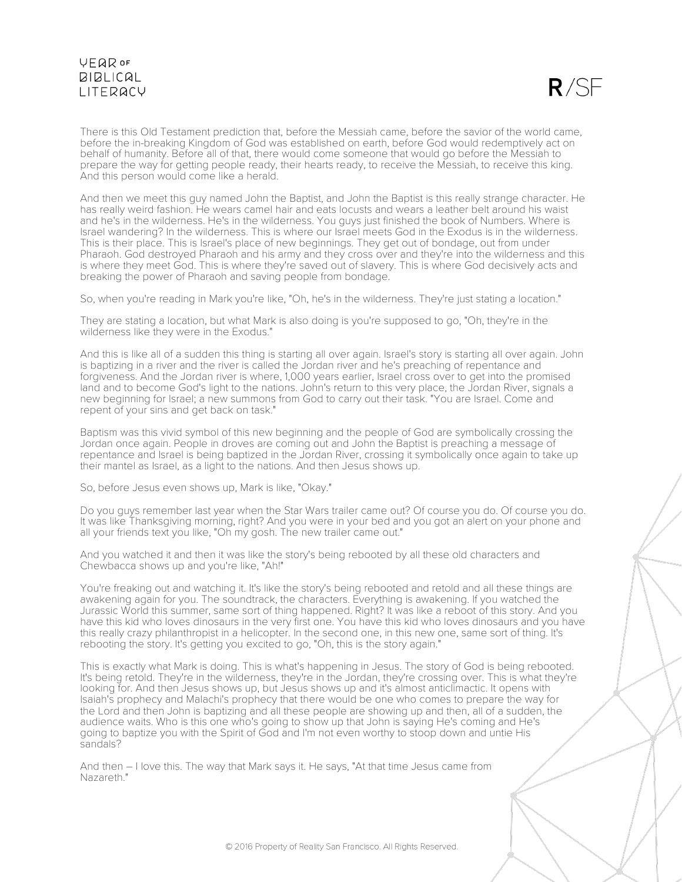

There is this Old Testament prediction that, before the Messiah came, before the savior of the world came, before the in-breaking Kingdom of God was established on earth, before God would redemptively act on behalf of humanity. Before all of that, there would come someone that would go before the Messiah to prepare the way for getting people ready, their hearts ready, to receive the Messiah, to receive this king. And this person would come like a herald.

And then we meet this guy named John the Baptist, and John the Baptist is this really strange character. He has really weird fashion. He wears camel hair and eats locusts and wears a leather belt around his waist and he's in the wilderness. He's in the wilderness. You guys just finished the book of Numbers. Where is Israel wandering? In the wilderness. This is where our Israel meets God in the Exodus is in the wilderness. This is their place. This is Israel's place of new beginnings. They get out of bondage, out from under Pharaoh. God destroyed Pharaoh and his army and they cross over and they're into the wilderness and this is where they meet God. This is where they're saved out of slavery. This is where God decisively acts and breaking the power of Pharaoh and saving people from bondage.

So, when you're reading in Mark you're like, "Oh, he's in the wilderness. They're just stating a location."

They are stating a location, but what Mark is also doing is you're supposed to go, "Oh, they're in the wilderness like they were in the Exodus."

And this is like all of a sudden this thing is starting all over again. Israel's story is starting all over again. John is baptizing in a river and the river is called the Jordan river and he's preaching of repentance and forgiveness. And the Jordan river is where, 1,000 years earlier, Israel cross over to get into the promised land and to become God's light to the nations. John's return to this very place, the Jordan River, signals a new beginning for Israel; a new summons from God to carry out their task. "You are Israel. Come and repent of your sins and get back on task."

Baptism was this vivid symbol of this new beginning and the people of God are symbolically crossing the Jordan once again. People in droves are coming out and John the Baptist is preaching a message of repentance and Israel is being baptized in the Jordan River, crossing it symbolically once again to take up their mantel as Israel, as a light to the nations. And then Jesus shows up.

So, before Jesus even shows up, Mark is like, "Okay."

Do you guys remember last year when the Star Wars trailer came out? Of course you do. Of course you do. It was like Thanksgiving morning, right? And you were in your bed and you got an alert on your phone and all your friends text you like, "Oh my gosh. The new trailer came out."

And you watched it and then it was like the story's being rebooted by all these old characters and Chewbacca shows up and you're like, "Ah!"

You're freaking out and watching it. It's like the story's being rebooted and retold and all these things are awakening again for you. The soundtrack, the characters. Everything is awakening. If you watched the Jurassic World this summer, same sort of thing happened. Right? It was like a reboot of this story. And you have this kid who loves dinosaurs in the very first one. You have this kid who loves dinosaurs and you have this really crazy philanthropist in a helicopter. In the second one, in this new one, same sort of thing. It's rebooting the story. It's getting you excited to go, "Oh, this is the story again."

This is exactly what Mark is doing. This is what's happening in Jesus. The story of God is being rebooted. It's being retold. They're in the wilderness, they're in the Jordan, they're crossing over. This is what they're looking for. And then Jesus shows up, but Jesus shows up and it's almost anticlimactic. It opens with Isaiah's prophecy and Malachi's prophecy that there would be one who comes to prepare the way for the Lord and then John is baptizing and all these people are showing up and then, all of a sudden, the audience waits. Who is this one who's going to show up that John is saying He's coming and He's going to baptize you with the Spirit of God and I'm not even worthy to stoop down and untie His sandals?

And then – I love this. The way that Mark says it. He says, "At that time Jesus came from Nazareth."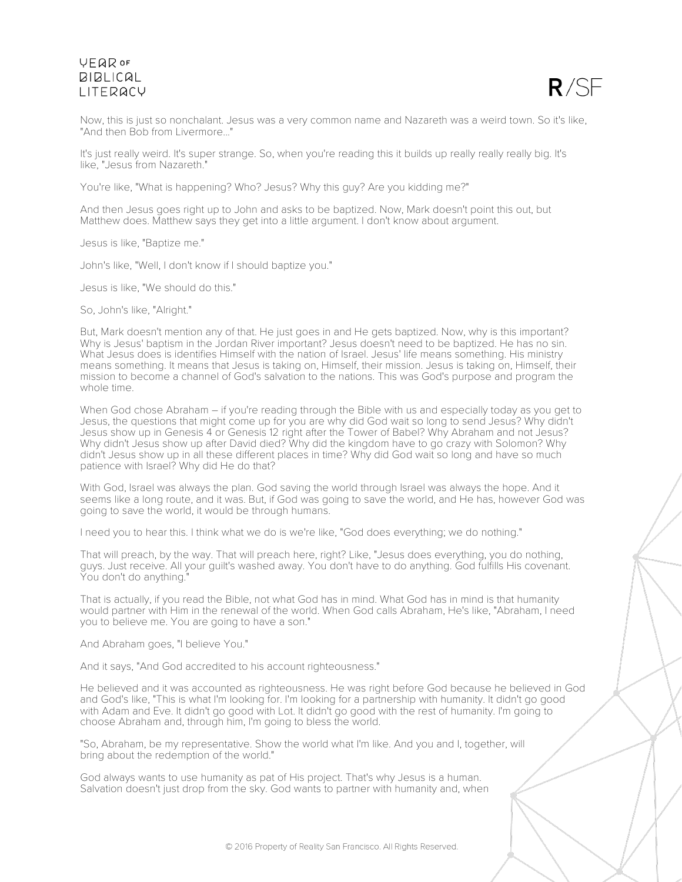

Now, this is just so nonchalant. Jesus was a very common name and Nazareth was a weird town. So it's like, "And then Bob from Livermore..."

It's just really weird. It's super strange. So, when you're reading this it builds up really really really big. It's like, "Jesus from Nazareth."

You're like, "What is happening? Who? Jesus? Why this guy? Are you kidding me?"

And then Jesus goes right up to John and asks to be baptized. Now, Mark doesn't point this out, but Matthew does. Matthew says they get into a little argument. I don't know about argument.

Jesus is like, "Baptize me."

John's like, "Well, I don't know if I should baptize you."

Jesus is like, "We should do this."

So, John's like, "Alright."

But, Mark doesn't mention any of that. He just goes in and He gets baptized. Now, why is this important? Why is Jesus' baptism in the Jordan River important? Jesus doesn't need to be baptized. He has no sin. What Jesus does is identifies Himself with the nation of Israel. Jesus' life means something. His ministry means something. It means that Jesus is taking on, Himself, their mission. Jesus is taking on, Himself, their mission to become a channel of God's salvation to the nations. This was God's purpose and program the whole time.

When God chose Abraham – if you're reading through the Bible with us and especially today as you get to Jesus, the questions that might come up for you are why did God wait so long to send Jesus? Why didn't Jesus show up in Genesis 4 or Genesis 12 right after the Tower of Babel? Why Abraham and not Jesus? Why didn't Jesus show up after David died? Why did the kingdom have to go crazy with Solomon? Why didn't Jesus show up in all these different places in time? Why did God wait so long and have so much patience with Israel? Why did He do that?

With God, Israel was always the plan. God saving the world through Israel was always the hope. And it seems like a long route, and it was. But, if God was going to save the world, and He has, however God was going to save the world, it would be through humans.

I need you to hear this. I think what we do is we're like, "God does everything; we do nothing."

That will preach, by the way. That will preach here, right? Like, "Jesus does everything, you do nothing, guys. Just receive. All your guilt's washed away. You don't have to do anything. God fulfills His covenant. You don't do anything."

That is actually, if you read the Bible, not what God has in mind. What God has in mind is that humanity would partner with Him in the renewal of the world. When God calls Abraham, He's like, "Abraham, I need you to believe me. You are going to have a son."

And Abraham goes, "I believe You."

And it says, "And God accredited to his account righteousness."

He believed and it was accounted as righteousness. He was right before God because he believed in God and God's like, "This is what I'm looking for. I'm looking for a partnership with humanity. It didn't go good with Adam and Eve. It didn't go good with Lot. It didn't go good with the rest of humanity. I'm going to choose Abraham and, through him, I'm going to bless the world.

"So, Abraham, be my representative. Show the world what I'm like. And you and I, together, will bring about the redemption of the world."

God always wants to use humanity as pat of His project. That's why Jesus is a human. Salvation doesn't just drop from the sky. God wants to partner with humanity and, when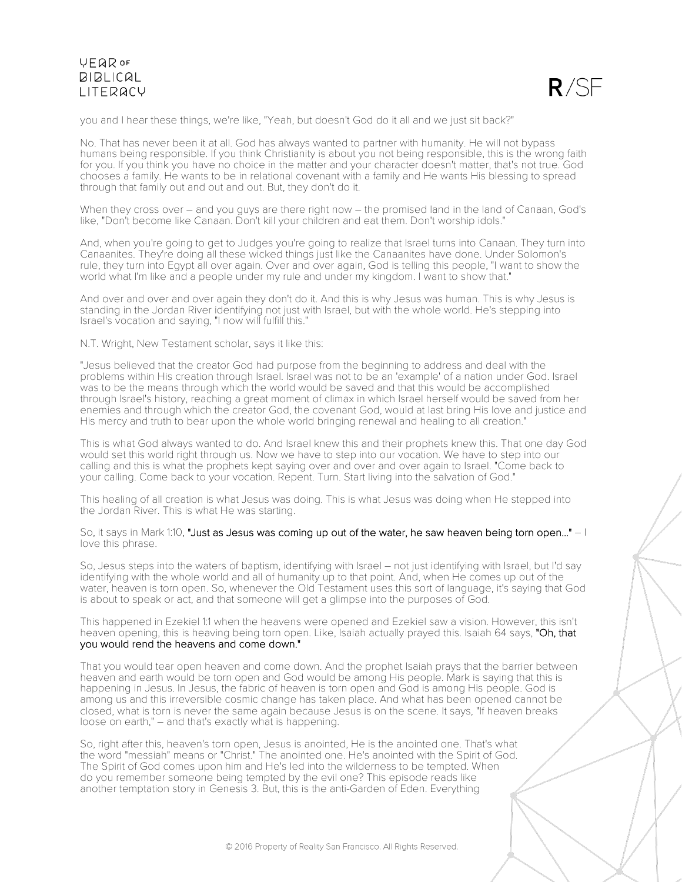

you and I hear these things, we're like, "Yeah, but doesn't God do it all and we just sit back?"

No. That has never been it at all. God has always wanted to partner with humanity. He will not bypass humans being responsible. If you think Christianity is about you not being responsible, this is the wrong faith for you. If you think you have no choice in the matter and your character doesn't matter, that's not true. God chooses a family. He wants to be in relational covenant with a family and He wants His blessing to spread through that family out and out and out. But, they don't do it.

When they cross over – and you guys are there right now – the promised land in the land of Canaan, God's like, "Don't become like Canaan. Don't kill your children and eat them. Don't worship idols."

And, when you're going to get to Judges you're going to realize that Israel turns into Canaan. They turn into Canaanites. They're doing all these wicked things just like the Canaanites have done. Under Solomon's rule, they turn into Egypt all over again. Over and over again, God is telling this people, "I want to show the world what I'm like and a people under my rule and under my kingdom. I want to show that."

And over and over and over again they don't do it. And this is why Jesus was human. This is why Jesus is standing in the Jordan River identifying not just with Israel, but with the whole world. He's stepping into Israel's vocation and saying, "I now will fulfill this."

N.T. Wright, New Testament scholar, says it like this:

"Jesus believed that the creator God had purpose from the beginning to address and deal with the problems within His creation through Israel. Israel was not to be an 'example' of a nation under God. Israel was to be the means through which the world would be saved and that this would be accomplished through Israel's history, reaching a great moment of climax in which Israel herself would be saved from her enemies and through which the creator God, the covenant God, would at last bring His love and justice and His mercy and truth to bear upon the whole world bringing renewal and healing to all creation."

This is what God always wanted to do. And Israel knew this and their prophets knew this. That one day God would set this world right through us. Now we have to step into our vocation. We have to step into our calling and this is what the prophets kept saying over and over and over again to Israel. "Come back to your calling. Come back to your vocation. Repent. Turn. Start living into the salvation of God."

This healing of all creation is what Jesus was doing. This is what Jesus was doing when He stepped into the Jordan River. This is what He was starting.

So, it says in Mark 1:10, "Just as Jesus was coming up out of the water, he saw heaven being torn open..." - I love this phrase.

So, Jesus steps into the waters of baptism, identifying with Israel – not just identifying with Israel, but I'd say identifying with the whole world and all of humanity up to that point. And, when He comes up out of the water, heaven is torn open. So, whenever the Old Testament uses this sort of language, it's saying that God is about to speak or act, and that someone will get a glimpse into the purposes of God.

This happened in Ezekiel 1:1 when the heavens were opened and Ezekiel saw a vision. However, this isn't heaven opening, this is heaving being torn open. Like, Isaiah actually prayed this. Isaiah 64 says, "Oh, that you would rend the heavens and come down."

That you would tear open heaven and come down. And the prophet Isaiah prays that the barrier between heaven and earth would be torn open and God would be among His people. Mark is saying that this is happening in Jesus. In Jesus, the fabric of heaven is torn open and God is among His people. God is among us and this irreversible cosmic change has taken place. And what has been opened cannot be closed, what is torn is never the same again because Jesus is on the scene. It says, "If heaven breaks loose on earth," – and that's exactly what is happening.

So, right after this, heaven's torn open, Jesus is anointed, He is the anointed one. That's what the word "messiah" means or "Christ." The anointed one. He's anointed with the Spirit of God. The Spirit of God comes upon him and He's led into the wilderness to be tempted. When do you remember someone being tempted by the evil one? This episode reads like another temptation story in Genesis 3. But, this is the anti-Garden of Eden. Everything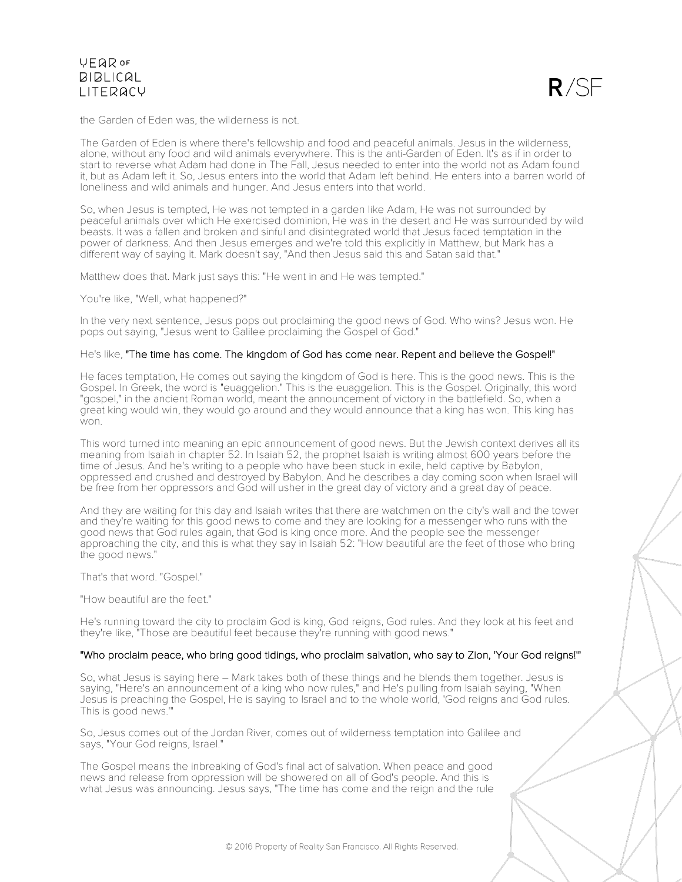

the Garden of Eden was, the wilderness is not.

The Garden of Eden is where there's fellowship and food and peaceful animals. Jesus in the wilderness, alone, without any food and wild animals everywhere. This is the anti-Garden of Eden. It's as if in order to start to reverse what Adam had done in The Fall, Jesus needed to enter into the world not as Adam found it, but as Adam left it. So, Jesus enters into the world that Adam left behind. He enters into a barren world of loneliness and wild animals and hunger. And Jesus enters into that world.

So, when Jesus is tempted, He was not tempted in a garden like Adam, He was not surrounded by peaceful animals over which He exercised dominion, He was in the desert and He was surrounded by wild beasts. It was a fallen and broken and sinful and disintegrated world that Jesus faced temptation in the power of darkness. And then Jesus emerges and we're told this explicitly in Matthew, but Mark has a different way of saying it. Mark doesn't say, "And then Jesus said this and Satan said that."

Matthew does that. Mark just says this: "He went in and He was tempted."

You're like, "Well, what happened?"

In the very next sentence, Jesus pops out proclaiming the good news of God. Who wins? Jesus won. He pops out saying, "Jesus went to Galilee proclaiming the Gospel of God."

#### He's like, "The time has come. The kingdom of God has come near. Repent and believe the Gospel!"

He faces temptation, He comes out saying the kingdom of God is here. This is the good news. This is the Gospel. In Greek, the word is "euaggelion." This is the euaggelion. This is the Gospel. Originally, this word "gospel," in the ancient Roman world, meant the announcement of victory in the battlefield. So, when a great king would win, they would go around and they would announce that a king has won. This king has  $W \cap T$ 

This word turned into meaning an epic announcement of good news. But the Jewish context derives all its meaning from Isaiah in chapter 52. In Isaiah 52, the prophet Isaiah is writing almost 600 years before the time of Jesus. And he's writing to a people who have been stuck in exile, held captive by Babylon, oppressed and crushed and destroyed by Babylon. And he describes a day coming soon when Israel will be free from her oppressors and God will usher in the great day of victory and a great day of peace.

And they are waiting for this day and Isaiah writes that there are watchmen on the city's wall and the tower and they're waiting for this good news to come and they are looking for a messenger who runs with the good news that God rules again, that God is king once more. And the people see the messenger approaching the city, and this is what they say in Isaiah 52: "How beautiful are the feet of those who bring the good news."

That's that word. "Gospel."

"How beautiful are the feet."

He's running toward the city to proclaim God is king, God reigns, God rules. And they look at his feet and they're like, "Those are beautiful feet because they're running with good news."

#### "Who proclaim peace, who bring good tidings, who proclaim salvation, who say to Zion, 'Your God reigns!'"

So, what Jesus is saying here – Mark takes both of these things and he blends them together. Jesus is saying, "Here's an announcement of a king who now rules," and He's pulling from Isaiah saying, "When Jesus is preaching the Gospel, He is saying to Israel and to the whole world, 'God reigns and God rules. This is good news."

So, Jesus comes out of the Jordan River, comes out of wilderness temptation into Galilee and says, "Your God reigns, Israel."

The Gospel means the inbreaking of God's final act of salvation. When peace and good news and release from oppression will be showered on all of God's people. And this is what Jesus was announcing. Jesus says, "The time has come and the reign and the rule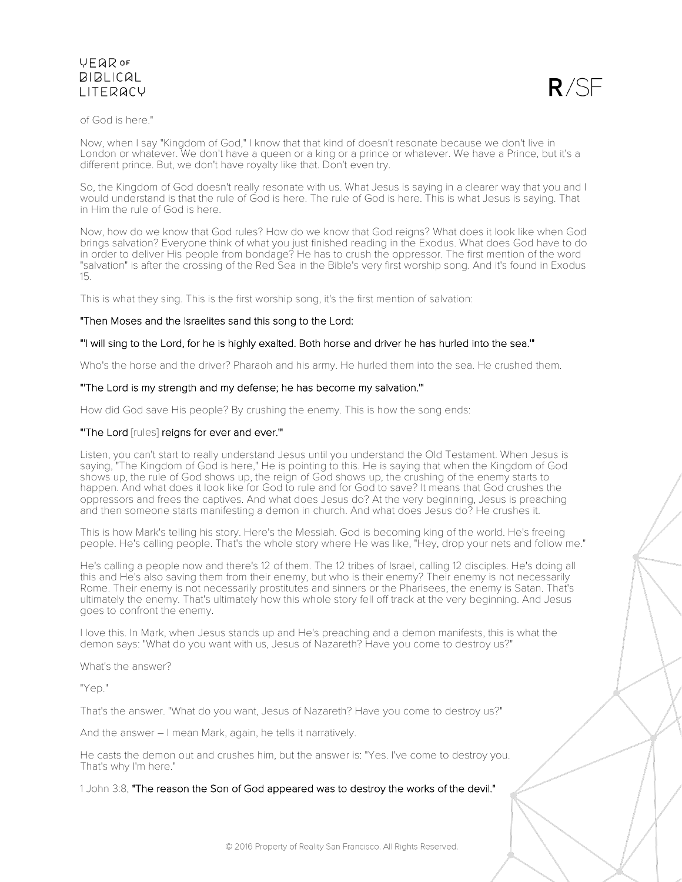

### of God is here."

Now, when I say "Kingdom of God," I know that that kind of doesn't resonate because we don't live in London or whatever. We don't have a queen or a king or a prince or whatever. We have a Prince, but it's a different prince. But, we don't have royalty like that. Don't even try.

So, the Kingdom of God doesn't really resonate with us. What Jesus is saying in a clearer way that you and I would understand is that the rule of God is here. The rule of God is here. This is what Jesus is saying. That in Him the rule of God is here.

Now, how do we know that God rules? How do we know that God reigns? What does it look like when God brings salvation? Everyone think of what you just finished reading in the Exodus. What does God have to do in order to deliver His people from bondage? He has to crush the oppressor. The first mention of the word "salvation" is after the crossing of the Red Sea in the Bible's very first worship song. And it's found in Exodus 15.

This is what they sing. This is the first worship song, it's the first mention of salvation:

## "Then Moses and the Israelites sand this song to the Lord:

## "'I will sing to the Lord, for he is highly exalted. Both horse and driver he has hurled into the sea.'"

Who's the horse and the driver? Pharaoh and his army. He hurled them into the sea. He crushed them.

### "'The Lord is my strength and my defense; he has become my salvation.'"

How did God save His people? By crushing the enemy. This is how the song ends:

## "'The Lord [rules] reigns for ever and ever.'"

Listen, you can't start to really understand Jesus until you understand the Old Testament. When Jesus is saying, "The Kingdom of God is here," He is pointing to this. He is saying that when the Kingdom of God shows up, the rule of God shows up, the reign of God shows up, the crushing of the enemy starts to happen. And what does it look like for God to rule and for God to save? It means that God crushes the oppressors and frees the captives. And what does Jesus do? At the very beginning, Jesus is preaching and then someone starts manifesting a demon in church. And what does Jesus do? He crushes it.

This is how Mark's telling his story. Here's the Messiah. God is becoming king of the world. He's freeing people. He's calling people. That's the whole story where He was like, "Hey, drop your nets and follow me."

He's calling a people now and there's 12 of them. The 12 tribes of Israel, calling 12 disciples. He's doing all this and He's also saving them from their enemy, but who is their enemy? Their enemy is not necessarily Rome. Their enemy is not necessarily prostitutes and sinners or the Pharisees, the enemy is Satan. That's ultimately the enemy. That's ultimately how this whole story fell off track at the very beginning. And Jesus goes to confront the enemy.

I love this. In Mark, when Jesus stands up and He's preaching and a demon manifests, this is what the demon says: "What do you want with us, Jesus of Nazareth? Have you come to destroy us?"

What's the answer?

"Yep."

That's the answer. "What do you want, Jesus of Nazareth? Have you come to destroy us?"

And the answer – I mean Mark, again, he tells it narratively.

He casts the demon out and crushes him, but the answer is: "Yes. I've come to destroy you. That's why I'm here."

1 John 3:8, "The reason the Son of God appeared was to destroy the works of the devil."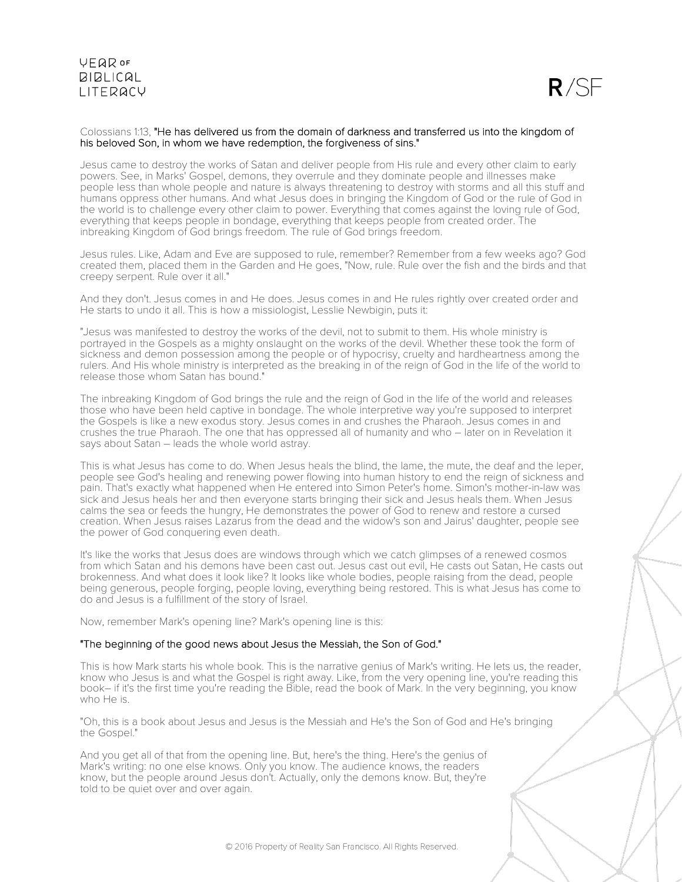

#### Colossians 1:13, "He has delivered us from the domain of darkness and transferred us into the kingdom of his beloved Son, in whom we have redemption, the forgiveness of sins."

Jesus came to destroy the works of Satan and deliver people from His rule and every other claim to early powers. See, in Marks' Gospel, demons, they overrule and they dominate people and illnesses make people less than whole people and nature is always threatening to destroy with storms and all this stuff and humans oppress other humans. And what Jesus does in bringing the Kingdom of God or the rule of God in the world is to challenge every other claim to power. Everything that comes against the loving rule of God, everything that keeps people in bondage, everything that keeps people from created order. The inbreaking Kingdom of God brings freedom. The rule of God brings freedom.

Jesus rules. Like, Adam and Eve are supposed to rule, remember? Remember from a few weeks ago? God created them, placed them in the Garden and He goes, "Now, rule. Rule over the fish and the birds and that creepy serpent. Rule over it all."

And they don't. Jesus comes in and He does. Jesus comes in and He rules rightly over created order and He starts to undo it all. This is how a missiologist, Lesslie Newbigin, puts it:

"Jesus was manifested to destroy the works of the devil, not to submit to them. His whole ministry is portrayed in the Gospels as a mighty onslaught on the works of the devil. Whether these took the form of sickness and demon possession among the people or of hypocrisy, cruelty and hardheartness among the rulers. And His whole ministry is interpreted as the breaking in of the reign of God in the life of the world to release those whom Satan has bound."

The inbreaking Kingdom of God brings the rule and the reign of God in the life of the world and releases those who have been held captive in bondage. The whole interpretive way you're supposed to interpret the Gospels is like a new exodus story. Jesus comes in and crushes the Pharaoh. Jesus comes in and crushes the true Pharaoh. The one that has oppressed all of humanity and who – later on in Revelation it says about Satan – leads the whole world astray.

This is what Jesus has come to do. When Jesus heals the blind, the lame, the mute, the deaf and the leper, people see God's healing and renewing power flowing into human history to end the reign of sickness and pain. That's exactly what happened when He entered into Simon Peter's home. Simon's mother-in-law was sick and Jesus heals her and then everyone starts bringing their sick and Jesus heals them. When Jesus calms the sea or feeds the hungry, He demonstrates the power of God to renew and restore a cursed creation. When Jesus raises Lazarus from the dead and the widow's son and Jairus' daughter, people see the power of God conquering even death.

It's like the works that Jesus does are windows through which we catch glimpses of a renewed cosmos from which Satan and his demons have been cast out. Jesus cast out evil, He casts out Satan, He casts out brokenness. And what does it look like? It looks like whole bodies, people raising from the dead, people being generous, people forging, people loving, everything being restored. This is what Jesus has come to do and Jesus is a fulfillment of the story of Israel.

Now, remember Mark's opening line? Mark's opening line is this:

### "The beginning of the good news about Jesus the Messiah, the Son of God."

This is how Mark starts his whole book. This is the narrative genius of Mark's writing. He lets us, the reader, know who Jesus is and what the Gospel is right away. Like, from the very opening line, you're reading this book– if it's the first time you're reading the Bible, read the book of Mark. In the very beginning, you know who He is.

"Oh, this is a book about Jesus and Jesus is the Messiah and He's the Son of God and He's bringing the Gospel."

And you get all of that from the opening line. But, here's the thing. Here's the genius of Mark's writing: no one else knows. Only you know. The audience knows, the readers know, but the people around Jesus don't. Actually, only the demons know. But, they're told to be quiet over and over again.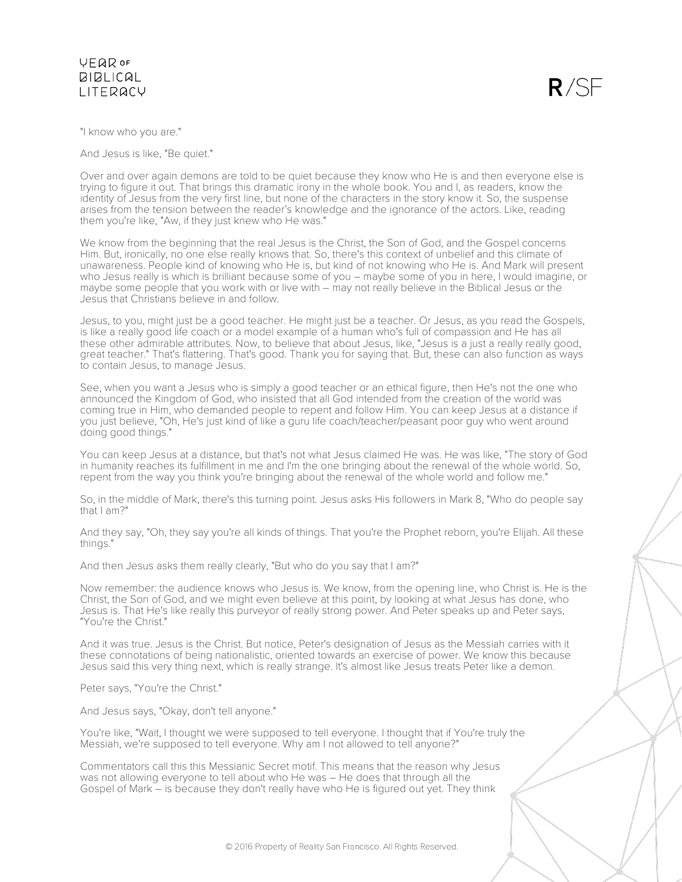$R/SF$ 

"I know who you are."

And Jesus is like, "Be quiet."

Over and over again demons are told to be quiet because they know who He is and then everyone else is trying to figure it out. That brings this dramatic irony in the whole book. You and I, as readers, know the identity of Jesus from the very first line, but none of the characters in the story know it. So, the suspense arises from the tension between the reader's knowledge and the ignorance of the actors. Like, reading them you're like, "Aw, if they just knew who He was."

We know from the beginning that the real Jesus is the Christ, the Son of God, and the Gospel concerns Him. But, ironically, no one else really knows that. So, there's this context of unbelief and this climate of unawareness. People kind of knowing who He is, but kind of not knowing who He is. And Mark will present who Jesus really is which is brilliant because some of you – maybe some of you in here, I would imagine, or maybe some people that you work with or live with – may not really believe in the Biblical Jesus or the Jesus that Christians believe in and follow.

Jesus, to you, might just be a good teacher. He might just be a teacher. Or Jesus, as you read the Gospels, is like a really good life coach or a model example of a human who's full of compassion and He has all these other admirable attributes. Now, to believe that about Jesus, like, "Jesus is a just a really really good, great teacher." That's flattering. That's good. Thank you for saying that. But, these can also function as ways to contain Jesus, to manage Jesus.

See, when you want a Jesus who is simply a good teacher or an ethical figure, then He's not the one who announced the Kingdom of God, who insisted that all God intended from the creation of the world was coming true in Him, who demanded people to repent and follow Him. You can keep Jesus at a distance if you just believe, "Oh, He's just kind of like a guru life coach/teacher/peasant poor guy who went around doing good things."

You can keep Jesus at a distance, but that's not what Jesus claimed He was. He was like, "The story of God in humanity reaches its fulfillment in me and I'm the one bringing about the renewal of the whole world. So, repent from the way you think you're bringing about the renewal of the whole world and follow me."

So, in the middle of Mark, there's this turning point. Jesus asks His followers in Mark 8, "Who do people say that I am?"

And they say, "Oh, they say you're all kinds of things. That you're the Prophet reborn, you're Elijah. All these things."

And then Jesus asks them really clearly, "But who do you say that I am?"

Now remember: the audience knows who Jesus is. We know, from the opening line, who Christ is. He is the Christ, the Son of God, and we might even believe at this point, by looking at what Jesus has done, who Jesus is. That He's like really this purveyor of really strong power. And Peter speaks up and Peter says, "You're the Christ."

And it was true. Jesus is the Christ. But notice, Peter's designation of Jesus as the Messiah carries with it these connotations of being nationalistic, oriented towards an exercise of power. We know this because Jesus said this very thing next, which is really strange. It's almost like Jesus treats Peter like a demon.

Peter says, "You're the Christ."

And Jesus says, "Okay, don't tell anyone."

You're like, "Wait, I thought we were supposed to tell everyone. I thought that if You're truly the Messiah, we're supposed to tell everyone. Why am I not allowed to tell anyone?"

Commentators call this this Messianic Secret motif. This means that the reason why Jesus was not allowing everyone to tell about who He was – He does that through all the Gospel of Mark – is because they don't really have who He is figured out yet. They think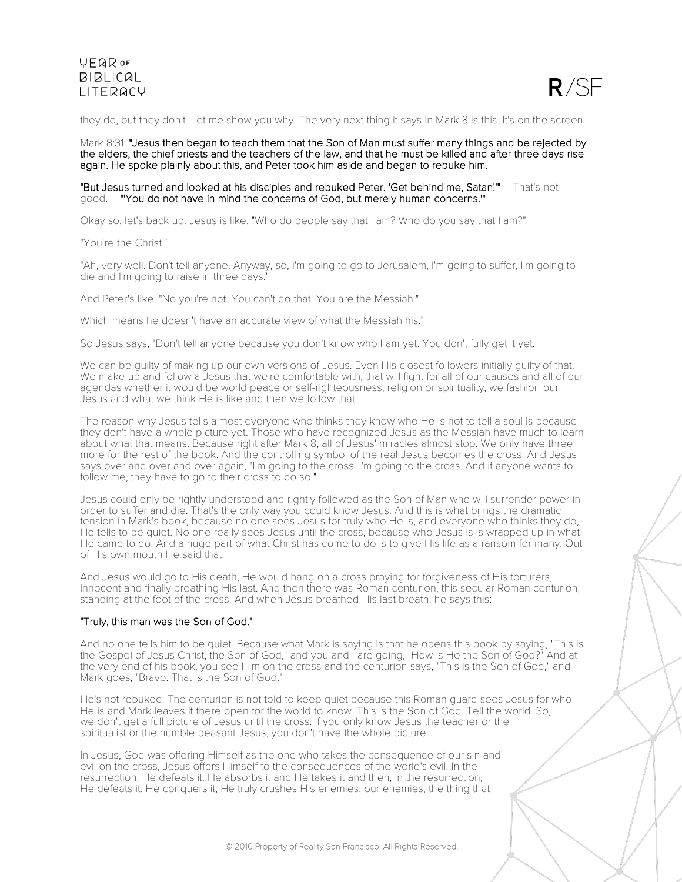

they do, but they don't. Let me show you why. The very next thing it says in Mark 8 is this. It's on the screen.

Mark 8:31: "Jesus then began to teach them that the Son of Man must suffer many things and be rejected by the elders, the chief priests and the teachers of the law, and that he must be killed and after three days rise again. He spoke plainly about this, and Peter took him aside and began to rebuke him.

### "But Jesus turned and looked at his disciples and rebuked Peter. 'Get behind me, Satan!'" – That's not good. – "'You do not have in mind the concerns of God, but merely human concerns.'"

Okay so, let's back up. Jesus is like, "Who do people say that I am? Who do you say that I am?"

"You're the Christ."

"Ah, very well. Don't tell anyone. Anyway, so, I'm going to go to Jerusalem, I'm going to suffer, I'm going to die and I'm going to raise in three days."

And Peter's like, "No you're not. You can't do that. You are the Messiah."

Which means he doesn't have an accurate view of what the Messiah his."

So Jesus says, "Don't tell anyone because you don't know who I am yet. You don't fully get it yet."

We can be guilty of making up our own versions of Jesus. Even His closest followers initially guilty of that. We make up and follow a Jesus that we're comfortable with, that will fight for all of our causes and all of our agendas whether it would be world peace or self-righteousness, religion or spirituality, we fashion our Jesus and what we think He is like and then we follow that.

The reason why Jesus tells almost everyone who thinks they know who He is not to tell a soul is because they don't have a whole picture yet. Those who have recognized Jesus as the Messiah have much to learn about what that means. Because right after Mark 8, all of Jesus' miracles almost stop. We only have three more for the rest of the book. And the controlling symbol of the real Jesus becomes the cross. And Jesus says over and over and over again, "I'm going to the cross. I'm going to the cross. And if anyone wants to follow me, they have to go to their cross to do so."

Jesus could only be rightly understood and rightly followed as the Son of Man who will surrender power in order to suffer and die. That's the only way you could know Jesus. And this is what brings the dramatic tension in Mark's book, because no one sees Jesus for truly who He is, and everyone who thinks they do, He tells to be quiet. No one really sees Jesus until the cross, because who Jesus is is wrapped up in what He came to do. And a huge part of what Christ has come to do is to give His life as a ransom for many. Out of His own mouth He said that.

And Jesus would go to His death, He would hang on a cross praying for forgiveness of His torturers, innocent and finally breathing His last. And then there was Roman centurion, this secular Roman centurion, standing at the foot of the cross. And when Jesus breathed His last breath, he says this:

#### "Truly, this man was the Son of God."

And no one tells him to be quiet. Because what Mark is saying is that he opens this book by saying, "This is the Gospel of Jesus Christ, the Son of God," and you and I are going, "How is He the Son of God?" And at the very end of his book, you see Him on the cross and the centurion says, "This is the Son of God," and Mark goes, "Bravo. That is the Son of God."

He's not rebuked. The centurion is not told to keep quiet because this Roman guard sees Jesus for who He is and Mark leaves it there open for the world to know. This is the Son of God. Tell the world. So, we don't get a full picture of Jesus until the cross. If you only know Jesus the teacher or the spiritualist or the humble peasant Jesus, you don't have the whole picture.

In Jesus, God was offering Himself as the one who takes the consequence of our sin and evil on the cross, Jesus offers Himself to the consequences of the world's evil. In the resurrection, He defeats it. He absorbs it and He takes it and then, in the resurrection, He defeats it, He conquers it, He truly crushes His enemies, our enemies, the thing that